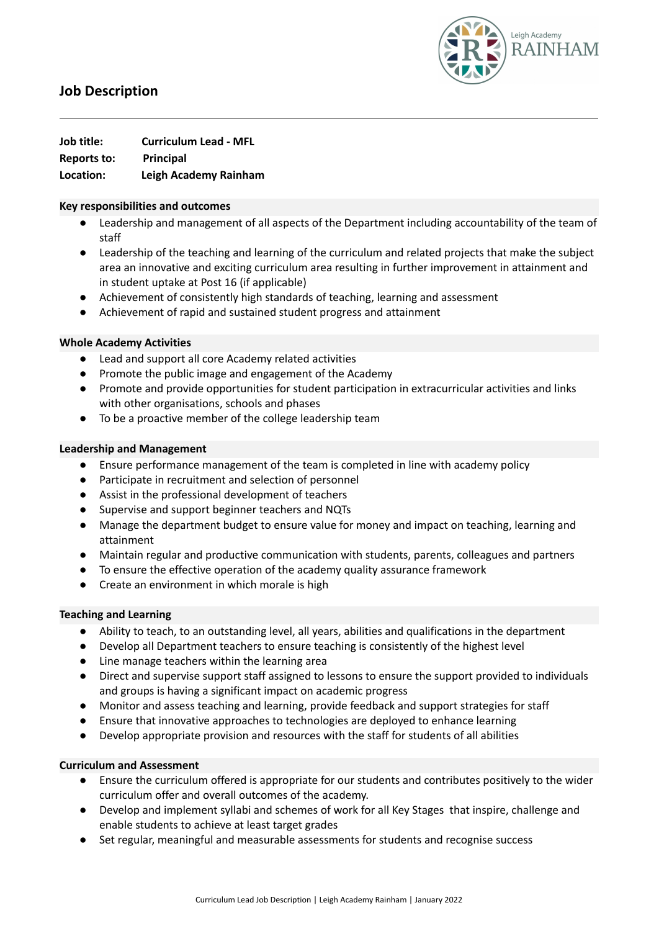

# **Job Description**

**Job title: Curriculum Lead - MFL Reports to: Principal Location: Leigh Academy Rainham**

#### **Key responsibilities and outcomes**

- Leadership and management of all aspects of the Department including accountability of the team of staff
- Leadership of the teaching and learning of the curriculum and related projects that make the subject area an innovative and exciting curriculum area resulting in further improvement in attainment and in student uptake at Post 16 (if applicable)
- Achievement of consistently high standards of teaching, learning and assessment
- Achievement of rapid and sustained student progress and attainment

## **Whole Academy Activities**

- Lead and support all core Academy related activities
- Promote the public image and engagement of the Academy
- Promote and provide opportunities for student participation in extracurricular activities and links with other organisations, schools and phases
- To be a proactive member of the college leadership team

#### **Leadership and Management**

- Ensure performance management of the team is completed in line with academy policy
- Participate in recruitment and selection of personnel
- Assist in the professional development of teachers
- Supervise and support beginner teachers and NQTs
- Manage the department budget to ensure value for money and impact on teaching, learning and attainment
- Maintain regular and productive communication with students, parents, colleagues and partners
- To ensure the effective operation of the academy quality assurance framework
- Create an environment in which morale is high

### **Teaching and Learning**

- Ability to teach, to an outstanding level, all years, abilities and qualifications in the department
- Develop all Department teachers to ensure teaching is consistently of the highest level
- Line manage teachers within the learning area
- Direct and supervise support staff assigned to lessons to ensure the support provided to individuals and groups is having a significant impact on academic progress
- Monitor and assess teaching and learning, provide feedback and support strategies for staff
- Ensure that innovative approaches to technologies are deployed to enhance learning
- Develop appropriate provision and resources with the staff for students of all abilities

### **Curriculum and Assessment**

- Ensure the curriculum offered is appropriate for our students and contributes positively to the wider curriculum offer and overall outcomes of the academy.
- Develop and implement syllabi and schemes of work for all Key Stages that inspire, challenge and enable students to achieve at least target grades
- Set regular, meaningful and measurable assessments for students and recognise success